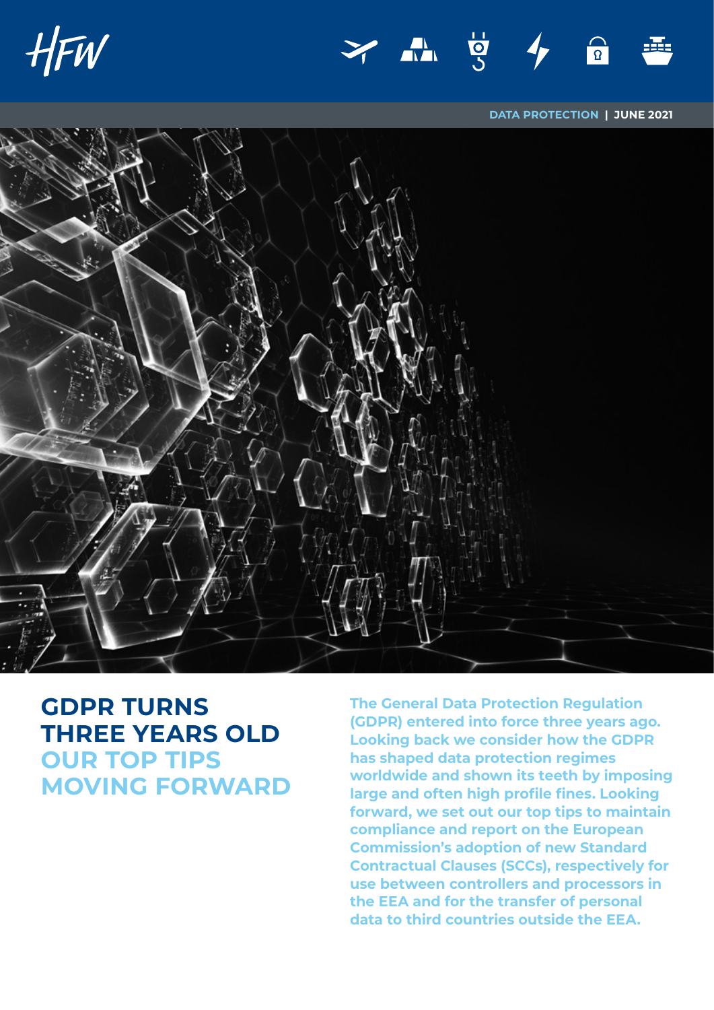



**DATA PROTECTION | JUNE 2021**



# **GDPR TURNS THREE YEARS OLD OUR TOP TIPS MOVING FORWARD**

**The General Data Protection Regulation (GDPR) entered into force three years ago. Looking back we consider how the GDPR has shaped data protection regimes worldwide and shown its teeth by imposing large and often high profile fines. Looking forward, we set out our top tips to maintain compliance and report on the European Commission's adoption of new Standard Contractual Clauses (SCCs), respectively for use between controllers and processors in the EEA and for the transfer of personal data to third countries outside the EEA.**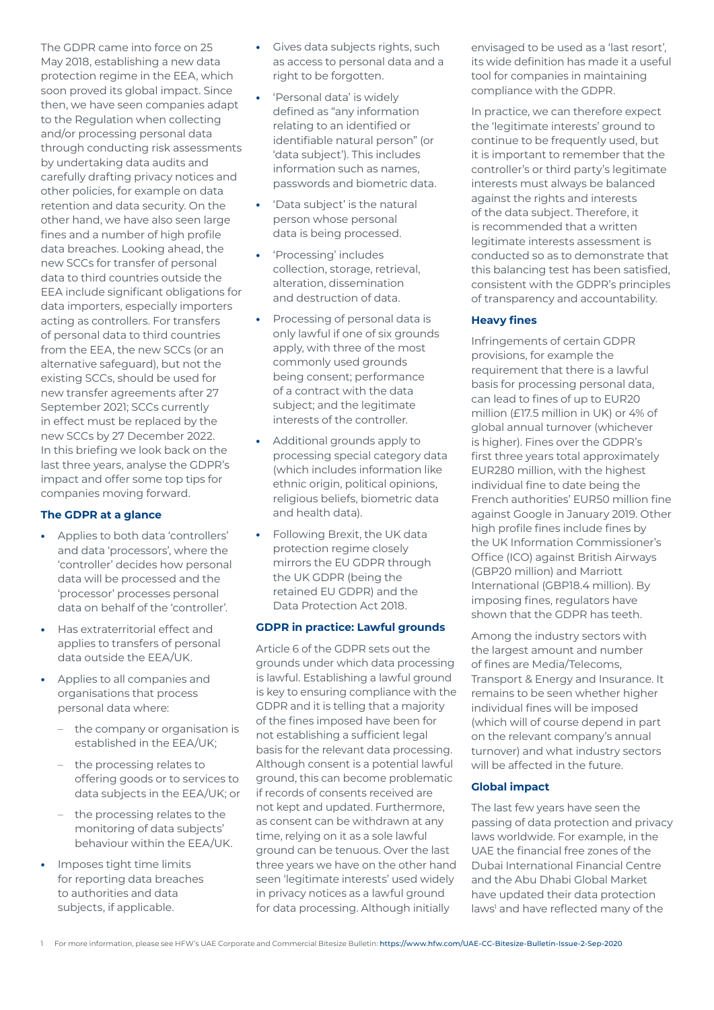The GDPR came into force on 25 May 2018, establishing a new data protection regime in the EEA, which soon proved its global impact. Since then, we have seen companies adapt to the Regulation when collecting and/or processing personal data through conducting risk assessments by undertaking data audits and carefully drafting privacy notices and other policies, for example on data retention and data security. On the other hand, we have also seen large fines and a number of high profile data breaches. Looking ahead, the new SCCs for transfer of personal data to third countries outside the EEA include significant obligations for data importers, especially importers acting as controllers. For transfers of personal data to third countries from the EEA, the new SCCs (or an alternative safeguard), but not the existing SCCs, should be used for new transfer agreements after 27 September 2021; SCCs currently in effect must be replaced by the new SCCs by 27 December 2022. In this briefing we look back on the last three years, analyse the GDPR's impact and offer some top tips for companies moving forward.

#### **The GDPR at a glance**

- **•** Applies to both data 'controllers' and data 'processors', where the 'controller' decides how personal data will be processed and the 'processor' processes personal data on behalf of the 'controller'.
- **•** Has extraterritorial effect and applies to transfers of personal data outside the EEA/UK.
- **•** Applies to all companies and organisations that process personal data where:
	- the company or organisation is established in the EEA/UK;
	- the processing relates to offering goods or to services to data subjects in the EEA/UK; or
	- the processing relates to the monitoring of data subjects' behaviour within the EEA/UK.
- **•** Imposes tight time limits for reporting data breaches to authorities and data subjects, if applicable.
- **•** Gives data subjects rights, such as access to personal data and a right to be forgotten.
- **•** 'Personal data' is widely defined as "any information relating to an identified or identifiable natural person" (or 'data subject'). This includes information such as names, passwords and biometric data.
- **•** 'Data subject' is the natural person whose personal data is being processed.
- **•** 'Processing' includes collection, storage, retrieval, alteration, dissemination and destruction of data.
- **•** Processing of personal data is only lawful if one of six grounds apply, with three of the most commonly used grounds being consent; performance of a contract with the data subject; and the legitimate interests of the controller.
- **•** Additional grounds apply to processing special category data (which includes information like ethnic origin, political opinions, religious beliefs, biometric data and health data).
- **•** Following Brexit, the UK data protection regime closely mirrors the EU GDPR through the UK GDPR (being the retained EU GDPR) and the Data Protection Act 2018.

#### **GDPR in practice: Lawful grounds**

Article 6 of the GDPR sets out the grounds under which data processing is lawful. Establishing a lawful ground is key to ensuring compliance with the GDPR and it is telling that a majority of the fines imposed have been for not establishing a sufficient legal basis for the relevant data processing. Although consent is a potential lawful ground, this can become problematic if records of consents received are not kept and updated. Furthermore, as consent can be withdrawn at any time, relying on it as a sole lawful ground can be tenuous. Over the last three years we have on the other hand seen 'legitimate interests' used widely in privacy notices as a lawful ground for data processing. Although initially

envisaged to be used as a 'last resort', its wide definition has made it a useful tool for companies in maintaining compliance with the GDPR.

In practice, we can therefore expect the 'legitimate interests' ground to continue to be frequently used, but it is important to remember that the controller's or third party's legitimate interests must always be balanced against the rights and interests of the data subject. Therefore, it is recommended that a written legitimate interests assessment is conducted so as to demonstrate that this balancing test has been satisfied, consistent with the GDPR's principles of transparency and accountability.

#### **Heavy fines**

Infringements of certain GDPR provisions, for example the requirement that there is a lawful basis for processing personal data, can lead to fines of up to EUR20 million (£17.5 million in UK) or 4% of global annual turnover (whichever is higher). Fines over the GDPR's first three years total approximately EUR280 million, with the highest individual fine to date being the French authorities' EUR50 million fine against Google in January 2019. Other high profile fines include fines by the UK Information Commissioner's Office (ICO) against British Airways (GBP20 million) and Marriott International (GBP18.4 million). By imposing fines, regulators have shown that the GDPR has teeth.

Among the industry sectors with the largest amount and number of fines are Media/Telecoms, Transport & Energy and Insurance. It remains to be seen whether higher individual fines will be imposed (which will of course depend in part on the relevant company's annual turnover) and what industry sectors will be affected in the future.

# **Global impact**

The last few years have seen the passing of data protection and privacy laws worldwide. For example, in the UAE the financial free zones of the Dubai International Financial Centre and the Abu Dhabi Global Market have updated their data protection laws<sup>1</sup> and have reflected many of the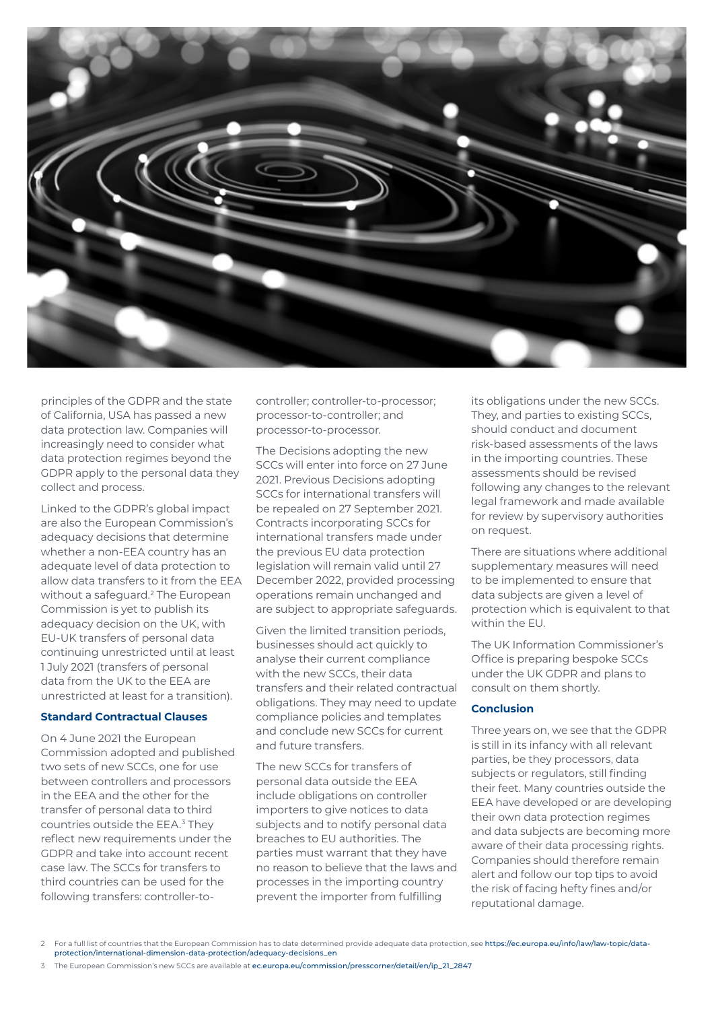

principles of the GDPR and the state of California, USA has passed a new data protection law. Companies will increasingly need to consider what data protection regimes beyond the GDPR apply to the personal data they collect and process.

Linked to the GDPR's global impact are also the European Commission's adequacy decisions that determine whether a non-EEA country has an adequate level of data protection to allow data transfers to it from the EEA without a safeguard.<sup>2</sup> The European Commission is yet to publish its adequacy decision on the UK, with EU-UK transfers of personal data continuing unrestricted until at least 1 July 2021 (transfers of personal data from the UK to the EEA are unrestricted at least for a transition).

#### **Standard Contractual Clauses**

On 4 June 2021 the European Commission adopted and published two sets of new SCCs, one for use between controllers and processors in the EEA and the other for the transfer of personal data to third countries outside the EEA.<sup>3</sup> They reflect new requirements under the GDPR and take into account recent case law. The SCCs for transfers to third countries can be used for the following transfers: controller-tocontroller; controller-to-processor; processor-to-controller; and processor-to-processor.

The Decisions adopting the new SCCs will enter into force on 27 June 2021. Previous Decisions adopting SCCs for international transfers will be repealed on 27 September 2021. Contracts incorporating SCCs for international transfers made under the previous EU data protection legislation will remain valid until 27 December 2022, provided processing operations remain unchanged and are subject to appropriate safeguards.

Given the limited transition periods, businesses should act quickly to analyse their current compliance with the new SCCs, their data transfers and their related contractual obligations. They may need to update compliance policies and templates and conclude new SCCs for current and future transfers.

The new SCCs for transfers of personal data outside the EEA include obligations on controller importers to give notices to data subjects and to notify personal data breaches to EU authorities. The parties must warrant that they have no reason to believe that the laws and processes in the importing country prevent the importer from fulfilling

its obligations under the new SCCs. They, and parties to existing SCCs, should conduct and document risk-based assessments of the laws in the importing countries. These assessments should be revised following any changes to the relevant legal framework and made available for review by supervisory authorities on request.

There are situations where additional supplementary measures will need to be implemented to ensure that data subjects are given a level of protection which is equivalent to that within the EU.

The UK Information Commissioner's Office is preparing bespoke SCCs under the UK GDPR and plans to consult on them shortly.

### **Conclusion**

Three years on, we see that the GDPR is still in its infancy with all relevant parties, be they processors, data subjects or regulators, still finding their feet. Many countries outside the EEA have developed or are developing their own data protection regimes and data subjects are becoming more aware of their data processing rights. Companies should therefore remain alert and follow our top tips to avoid the risk of facing hefty fines and/or reputational damage.

3 The European Commission's new SCCs are available at [ec.europa.eu/commission/presscorner/detail/en/ip\\_21\\_2847](http://ec.europa.eu/commission/presscorner/detail/en/ip_21_2847)

<sup>2</sup> For a full list of countries that the European Commission has to date determined provide adequate data protection, see [https://ec.europa.eu/info/law/law-topic/data](https://ec.europa.eu/info/law/law-topic/data-protection/international-dimension-data-protection/adequacy-decisions_en)[protection/international-dimension-data-protection/adequacy-decisions\\_en](https://ec.europa.eu/info/law/law-topic/data-protection/international-dimension-data-protection/adequacy-decisions_en)